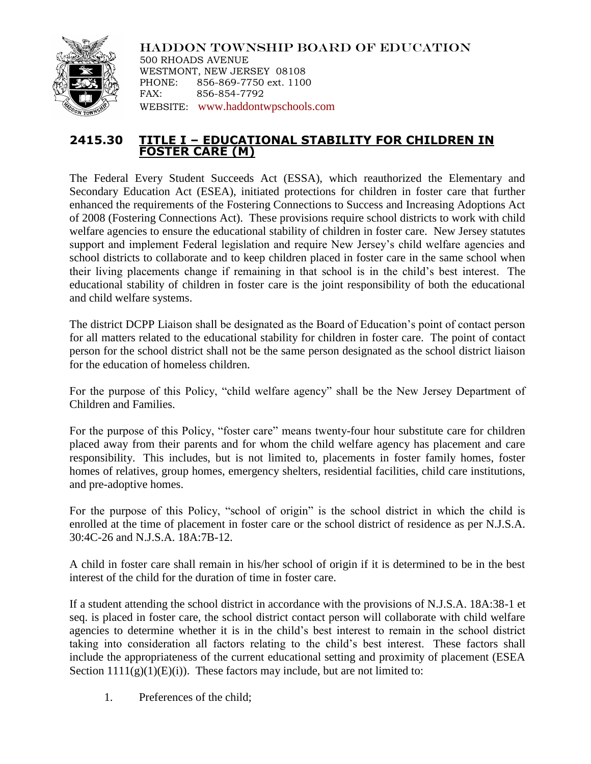

HADDON TOWNSHIP BOARD OF EDUCATION 500 RHOADS AVENUE WESTMONT, NEW JERSEY 08108 PHONE: 856-869-7750 ext. 1100 FAX: 856-854-7792 WEBSITE: [www.haddontwpschools.com](http://www.haddontwpschools.com/)

## **2415.30 TITLE I – EDUCATIONAL STABILITY FOR CHILDREN IN FOSTER CARE (M)**

The Federal Every Student Succeeds Act (ESSA), which reauthorized the Elementary and Secondary Education Act (ESEA), initiated protections for children in foster care that further enhanced the requirements of the Fostering Connections to Success and Increasing Adoptions Act of 2008 (Fostering Connections Act). These provisions require school districts to work with child welfare agencies to ensure the educational stability of children in foster care. New Jersey statutes support and implement Federal legislation and require New Jersey's child welfare agencies and school districts to collaborate and to keep children placed in foster care in the same school when their living placements change if remaining in that school is in the child's best interest. The educational stability of children in foster care is the joint responsibility of both the educational and child welfare systems.

The district DCPP Liaison shall be designated as the Board of Education's point of contact person for all matters related to the educational stability for children in foster care. The point of contact person for the school district shall not be the same person designated as the school district liaison for the education of homeless children.

For the purpose of this Policy, "child welfare agency" shall be the New Jersey Department of Children and Families.

For the purpose of this Policy, "foster care" means twenty-four hour substitute care for children placed away from their parents and for whom the child welfare agency has placement and care responsibility. This includes, but is not limited to, placements in foster family homes, foster homes of relatives, group homes, emergency shelters, residential facilities, child care institutions, and pre-adoptive homes.

For the purpose of this Policy, "school of origin" is the school district in which the child is enrolled at the time of placement in foster care or the school district of residence as per N.J.S.A. 30:4C-26 and N.J.S.A. 18A:7B-12.

A child in foster care shall remain in his/her school of origin if it is determined to be in the best interest of the child for the duration of time in foster care.

If a student attending the school district in accordance with the provisions of N.J.S.A. 18A:38-1 et seq. is placed in foster care, the school district contact person will collaborate with child welfare agencies to determine whether it is in the child's best interest to remain in the school district taking into consideration all factors relating to the child's best interest. These factors shall include the appropriateness of the current educational setting and proximity of placement (ESEA Section  $1111(g)(1)(E)(i)$ . These factors may include, but are not limited to:

1. Preferences of the child;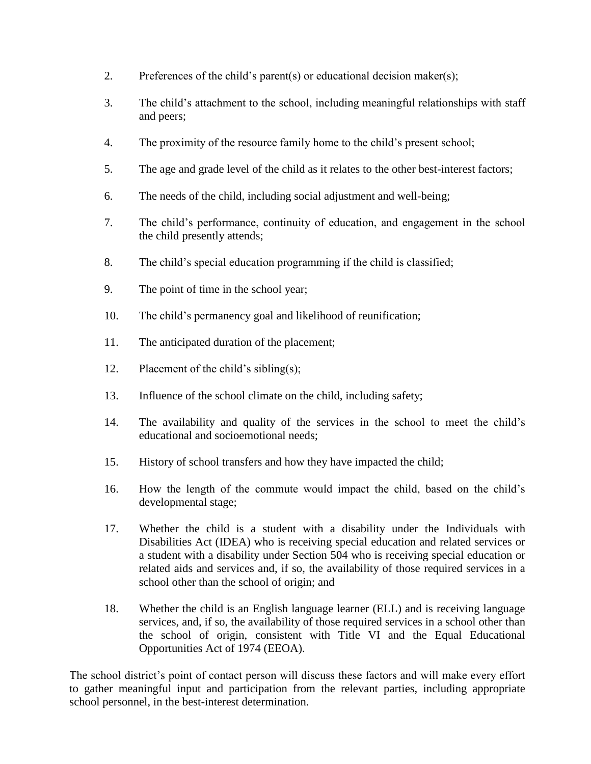- 2. Preferences of the child's parent(s) or educational decision maker(s);
- 3. The child's attachment to the school, including meaningful relationships with staff and peers;
- 4. The proximity of the resource family home to the child's present school;
- 5. The age and grade level of the child as it relates to the other best-interest factors;
- 6. The needs of the child, including social adjustment and well-being;
- 7. The child's performance, continuity of education, and engagement in the school the child presently attends;
- 8. The child's special education programming if the child is classified;
- 9. The point of time in the school year;
- 10. The child's permanency goal and likelihood of reunification;
- 11. The anticipated duration of the placement;
- 12. Placement of the child's sibling(s);
- 13. Influence of the school climate on the child, including safety;
- 14. The availability and quality of the services in the school to meet the child's educational and socioemotional needs;
- 15. History of school transfers and how they have impacted the child;
- 16. How the length of the commute would impact the child, based on the child's developmental stage;
- 17. Whether the child is a student with a disability under the Individuals with Disabilities Act (IDEA) who is receiving special education and related services or a student with a disability under Section 504 who is receiving special education or related aids and services and, if so, the availability of those required services in a school other than the school of origin; and
- 18. Whether the child is an English language learner (ELL) and is receiving language services, and, if so, the availability of those required services in a school other than the school of origin, consistent with Title VI and the Equal Educational Opportunities Act of 1974 (EEOA).

The school district's point of contact person will discuss these factors and will make every effort to gather meaningful input and participation from the relevant parties, including appropriate school personnel, in the best-interest determination.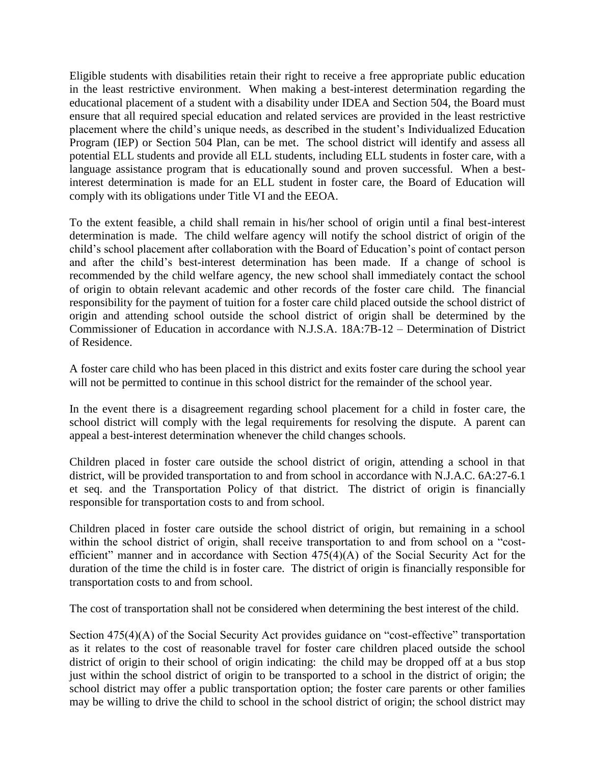Eligible students with disabilities retain their right to receive a free appropriate public education in the least restrictive environment. When making a best-interest determination regarding the educational placement of a student with a disability under IDEA and Section 504, the Board must ensure that all required special education and related services are provided in the least restrictive placement where the child's unique needs, as described in the student's Individualized Education Program (IEP) or Section 504 Plan, can be met. The school district will identify and assess all potential ELL students and provide all ELL students, including ELL students in foster care, with a language assistance program that is educationally sound and proven successful. When a bestinterest determination is made for an ELL student in foster care, the Board of Education will comply with its obligations under Title VI and the EEOA.

To the extent feasible, a child shall remain in his/her school of origin until a final best-interest determination is made. The child welfare agency will notify the school district of origin of the child's school placement after collaboration with the Board of Education's point of contact person and after the child's best-interest determination has been made. If a change of school is recommended by the child welfare agency, the new school shall immediately contact the school of origin to obtain relevant academic and other records of the foster care child. The financial responsibility for the payment of tuition for a foster care child placed outside the school district of origin and attending school outside the school district of origin shall be determined by the Commissioner of Education in accordance with N.J.S.A. 18A:7B-12 – Determination of District of Residence.

A foster care child who has been placed in this district and exits foster care during the school year will not be permitted to continue in this school district for the remainder of the school year.

In the event there is a disagreement regarding school placement for a child in foster care, the school district will comply with the legal requirements for resolving the dispute. A parent can appeal a best-interest determination whenever the child changes schools.

Children placed in foster care outside the school district of origin, attending a school in that district, will be provided transportation to and from school in accordance with N.J.A.C. 6A:27-6.1 et seq. and the Transportation Policy of that district. The district of origin is financially responsible for transportation costs to and from school.

Children placed in foster care outside the school district of origin, but remaining in a school within the school district of origin, shall receive transportation to and from school on a "costefficient" manner and in accordance with Section 475(4)(A) of the Social Security Act for the duration of the time the child is in foster care. The district of origin is financially responsible for transportation costs to and from school.

The cost of transportation shall not be considered when determining the best interest of the child.

Section 475(4)(A) of the Social Security Act provides guidance on "cost-effective" transportation as it relates to the cost of reasonable travel for foster care children placed outside the school district of origin to their school of origin indicating: the child may be dropped off at a bus stop just within the school district of origin to be transported to a school in the district of origin; the school district may offer a public transportation option; the foster care parents or other families may be willing to drive the child to school in the school district of origin; the school district may